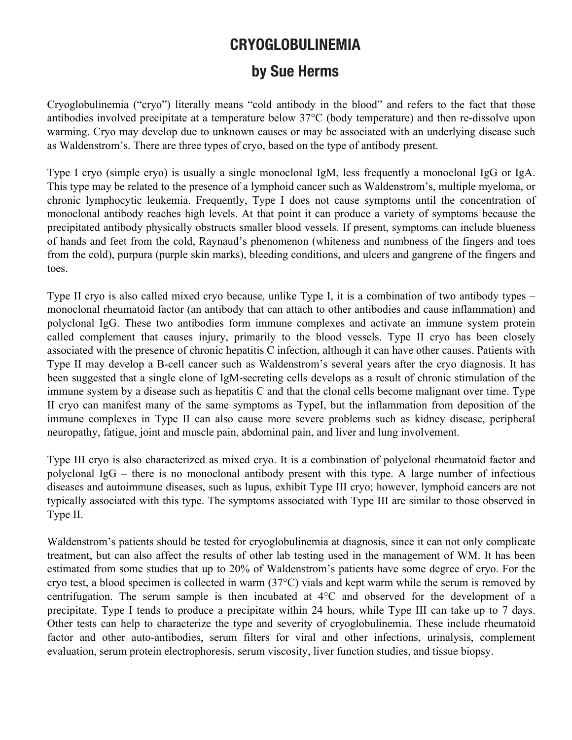## **CRYOGLOBULINEMIA**

## **by Sue Herms**

Cryoglobulinemia ("cryo") literally means "cold antibody in the blood" and refers to the fact that those antibodies involved precipitate at a temperature below 37°C (body temperature) and then re-dissolve upon warming. Cryo may develop due to unknown causes or may be associated with an underlying disease such as Waldenstrom's. There are three types of cryo, based on the type of antibody present.

Type I cryo (simple cryo) is usually a single monoclonal IgM, less frequently a monoclonal IgG or IgA. This type may be related to the presence of a lymphoid cancer such as Waldenstrom's, multiple myeloma, or chronic lymphocytic leukemia. Frequently, Type I does not cause symptoms until the concentration of monoclonal antibody reaches high levels. At that point it can produce a variety of symptoms because the precipitated antibody physically obstructs smaller blood vessels. If present, symptoms can include blueness of hands and feet from the cold, Raynaud's phenomenon (whiteness and numbness of the fingers and toes from the cold), purpura (purple skin marks), bleeding conditions, and ulcers and gangrene of the fingers and toes.

Type II cryo is also called mixed cryo because, unlike Type I, it is a combination of two antibody types – monoclonal rheumatoid factor (an antibody that can attach to other antibodies and cause inflammation) and polyclonal IgG. These two antibodies form immune complexes and activate an immune system protein called complement that causes injury, primarily to the blood vessels. Type II cryo has been closely associated with the presence of chronic hepatitis C infection, although it can have other causes. Patients with Type II may develop a B-cell cancer such as Waldenstrom's several years after the cryo diagnosis. It has been suggested that a single clone of IgM-secreting cells develops as a result of chronic stimulation of the immune system by a disease such as hepatitis C and that the clonal cells become malignant over time. Type II cryo can manifest many of the same symptoms as TypeI, but the inflammation from deposition of the immune complexes in Type II can also cause more severe problems such as kidney disease, peripheral neuropathy, fatigue, joint and muscle pain, abdominal pain, and liver and lung involvement.

Type III cryo is also characterized as mixed cryo. It is a combination of polyclonal rheumatoid factor and polyclonal IgG – there is no monoclonal antibody present with this type. A large number of infectious diseases and autoimmune diseases, such as lupus, exhibit Type III cryo; however, lymphoid cancers are not typically associated with this type. The symptoms associated with Type III are similar to those observed in Type II.

Waldenstrom's patients should be tested for cryoglobulinemia at diagnosis, since it can not only complicate treatment, but can also affect the results of other lab testing used in the management of WM. It has been estimated from some studies that up to 20% of Waldenstrom's patients have some degree of cryo. For the cryo test, a blood specimen is collected in warm (37°C) vials and kept warm while the serum is removed by centrifugation. The serum sample is then incubated at 4°C and observed for the development of a precipitate. Type I tends to produce a precipitate within 24 hours, while Type III can take up to 7 days. Other tests can help to characterize the type and severity of cryoglobulinemia. These include rheumatoid factor and other auto-antibodies, serum filters for viral and other infections, urinalysis, complement evaluation, serum protein electrophoresis, serum viscosity, liver function studies, and tissue biopsy.